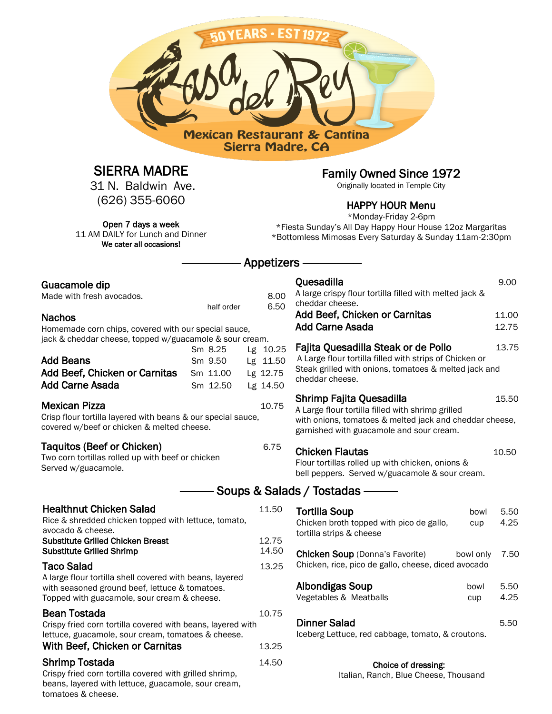

## SIERRA MADRE

31 N. Baldwin Ave. (626) 355-6060

Open 7 days a week 11 AM DAILY for Lunch and Dinner We cater all occasions!

Family Owned Since 1972

Originally located in Temple City

#### HAPPY HOUR Menu

\*Monday-Friday 2-6pm \*Fiesta Sunday's All Day Happy Hour House 12oz Margaritas \*Bottomless Mimosas Every Saturday & Sunday 11am-2:30pm

## Appetizers –

| Guacamole dip<br>Made with fresh avocados.<br><b>Nachos</b>                                                                                                                                    | half order                                 | 8.00<br>6.50                                 | Quesadilla<br>A large crispy flour tortilla filled with melted jack &<br>cheddar cheese.<br>Add Beef, Chicken or Carnitas<br><b>Add Carne Asada</b>                                           | 9.00<br>11.00<br>12.75 |
|------------------------------------------------------------------------------------------------------------------------------------------------------------------------------------------------|--------------------------------------------|----------------------------------------------|-----------------------------------------------------------------------------------------------------------------------------------------------------------------------------------------------|------------------------|
| Homemade corn chips, covered with our special sauce,<br>jack & cheddar cheese, topped w/guacamole & sour cream.<br><b>Add Beans</b><br>Add Beef, Chicken or Carnitas<br><b>Add Carne Asada</b> | Sm 8.25<br>Sm 9.50<br>Sm 11.00<br>Sm 12.50 | Lg 10.25<br>Lg 11.50<br>Lg 12.75<br>Lg 14.50 | Fajita Quesadilla Steak or de Pollo<br>A Large flour tortilla filled with strips of Chicken or<br>Steak grilled with onions, tomatoes & melted jack and<br>cheddar cheese.                    | 13.75                  |
| <b>Mexican Pizza</b><br>Crisp flour tortilla layered with beans & our special sauce,<br>covered w/beef or chicken & melted cheese.                                                             |                                            | 10.75                                        | Shrimp Fajita Quesadilla<br>15.50<br>A Large flour tortilla filled with shrimp grilled<br>with onions, tomatoes & melted jack and cheddar cheese,<br>garnished with guacamole and sour cream. |                        |
| Taquitos (Beef or Chicken)<br>Two corn tortillas rolled up with beef or chicken<br>Served w/guacamole.                                                                                         |                                            | 6.75                                         | <b>Chicken Flautas</b><br>10.50<br>Flour tortillas rolled up with chicken, onions &<br>bell peppers. Served w/guacamole & sour cream.                                                         |                        |
|                                                                                                                                                                                                |                                            |                                              | Soups & Salads / Tostadas ——                                                                                                                                                                  |                        |
| <b>Healthnut Chicken Salad</b><br>Rice & shredded chicken topped with lettuce, tomato,<br>avocado & cheese.<br><b>Substitute Grilled Chicken Breast</b>                                        |                                            | 11.50<br>12.75                               | <b>Tortilla Soup</b><br>bowl<br>Chicken broth topped with pico de gallo,<br>cup<br>tortilla strips & cheese                                                                                   | 5.50<br>4.25           |
| <b>Substitute Grilled Shrimp</b><br><b>Taco Salad</b>                                                                                                                                          |                                            | 14.50<br>13.25                               | <b>Chicken Soup (Donna's Favorite)</b><br>bowl only<br>Chicken, rice, pico de gallo, cheese, diced avocado                                                                                    | 7.50                   |
| A large flour tortilla shell covered with beans, layered<br>with seasoned ground beef, lettuce & tomatoes.<br>Topped with guacamole, sour cream & cheese.                                      |                                            |                                              | Albondigas Soup<br>bowl<br>Vegetables & Meatballs<br>cup                                                                                                                                      | 5.50<br>4.25           |
| Bean Tostada<br>Crispy fried corn tortilla covered with beans, layered with<br>lettuce, guacamole, sour cream, tomatoes & cheese.<br>With Beef, Chicken or Carnitas                            |                                            | 10.75<br>13.25                               | <b>Dinner Salad</b><br>Iceberg Lettuce, red cabbage, tomato, & croutons.                                                                                                                      | 5.50                   |
| <b>Shrimp Tostada</b>                                                                                                                                                                          |                                            | 14.50                                        | Choice of dressing:                                                                                                                                                                           |                        |

#### **Nachos**

|                                        | Sm 8.25  | Lg 10.25 |
|----------------------------------------|----------|----------|
| <b>Add Beans</b>                       | Sm 9.50  | Lg 11.50 |
| Add Beef, Chicken or Carnitas Sm 11.00 |          | Lg 12.75 |
| <b>Add Carne Asada</b>                 | Sm 12.50 | Lg 14.50 |
|                                        |          |          |

#### **Mexican Pizza**

tomatoes & cheese.

#### Taquitos (Beef or C

| Rice & shredded chicken topped with lettuce, tomato.<br>avocado & cheese.                                                                                                      |                |
|--------------------------------------------------------------------------------------------------------------------------------------------------------------------------------|----------------|
| <b>Substitute Grilled Chicken Breast</b><br><b>Substitute Grilled Shrimp</b>                                                                                                   | 12.75<br>14.50 |
| <b>Taco Salad</b><br>A large flour tortilla shell covered with beans, layered<br>with seasoned ground beef, lettuce & tomatoes.<br>Topped with guacamole, sour cream & cheese. | 13.25          |
| <b>Bean Tostada</b><br>Crispy fried corn tortilla covered with beans, layered with<br>lettuce, guacamole, sour cream, tomatoes & cheese.<br>With Beef, Chicken or Carnitas     | 10.75<br>13.25 |
| <b>Shrimp Tostada</b><br>Crispy fried corn tortilla covered with grilled shrimp,<br>beans, layered with lettuce, guacamole, sour cream,                                        | 14.50          |

| Albondigas Soup        | bowl | 5.50 |
|------------------------|------|------|
| Vegetables & Meatballs | cup  | 4.25 |
|                        |      |      |

| Dinner Salad                                      | 5.50 |
|---------------------------------------------------|------|
| Iceberg Lettuce, red cabbage, tomato, & croutons. |      |

Italian, Ranch, Blue Cheese, Thousand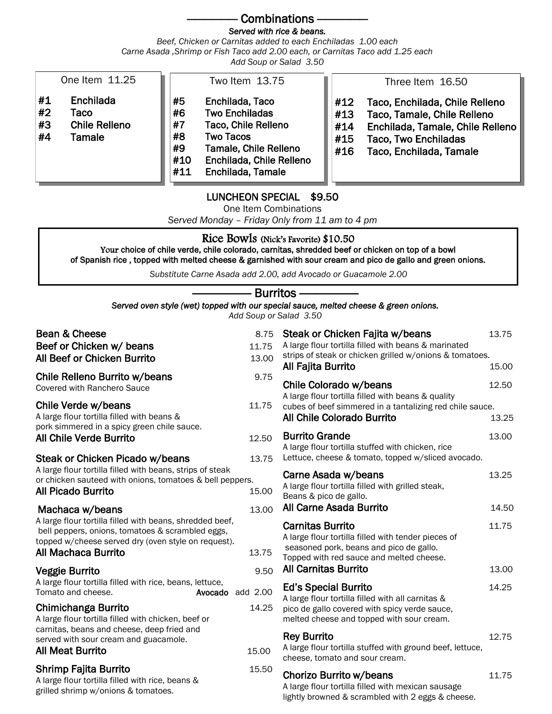## Combinations -

#### *Served with rice & beans.*

*Beef, Chicken or Carnitas added to each Enchiladas 1.00 each Carne Asada ,Shrimp or Fish Taco add 2.00 each, or Carnitas Taco add 1.25 each Add Soup or Salad 3.50*

|  | Add Soup or Salad 3.5 |  |
|--|-----------------------|--|
|  |                       |  |

| One Item 11.25                                                              | Two Item 13.75                                                                                                                                                                                            | Three Item 16.50                                                                                                                                                                               |
|-----------------------------------------------------------------------------|-----------------------------------------------------------------------------------------------------------------------------------------------------------------------------------------------------------|------------------------------------------------------------------------------------------------------------------------------------------------------------------------------------------------|
| #1<br>Enchilada<br>#2<br>Taco<br>#3<br><b>Chile Relleno</b><br>#4<br>Tamale | #5<br>Enchilada, Taco<br>#6<br><b>Two Enchiladas</b><br>#7<br>Taco, Chile Relleno<br>#8<br><b>Two Tacos</b><br>#9<br>Tamale, Chile Relleno<br>Enchilada, Chile Relleno<br>#10<br>Enchilada, Tamale<br>#11 | #12<br>Taco, Enchilada, Chile Relleno<br>Taco, Tamale, Chile Relleno<br>#13<br>Enchilada, Tamale, Chile Relleno<br>#14<br><b>Taco, Two Enchiladas</b><br>#15<br>Taco, Enchilada, Tamale<br>#16 |

### LUNCHEON SPECIAL \$9.50

One Item Combinations

*Served Monday – Friday Only from 11 am to 4 pm*

### Rice Bowls (Nick's Favorite) \$10.50

Your choice of chile verde, chile colorado, carnitas, shredded beef or chicken on top of a bowl of Spanish rice , topped with melted cheese & garnished with sour cream and pico de gallo and green onions.

*Substitute Carne Asada add 2.00, add Avocado or Guacamole 2.00*

| Burritos-                   |  |
|-----------------------------|--|
| ed with our snecial sauce_m |  |

#### *Served oven style (wet) topped with our special sauce, melted cheese & green onions. Add Soup or Salad 3.50*

| Bean & Cheese<br>Beef or Chicken w/ beans<br>All Beef or Chicken Burrito                                                                                                                   | 8.75<br>11.75<br>13.00 | Steak or Chicken Fajita w/beans<br>A large flour tortilla filled with beans & marinated<br>strips of steak or chicken grilled w/onions & tomatoes.<br>All Fajita Burrito | 13.75<br>15.00 |
|--------------------------------------------------------------------------------------------------------------------------------------------------------------------------------------------|------------------------|--------------------------------------------------------------------------------------------------------------------------------------------------------------------------|----------------|
| Chile Relleno Burrito w/beans<br><b>Covered with Ranchero Sauce</b>                                                                                                                        | 9.75                   | Chile Colorado w/beans                                                                                                                                                   | 12.50          |
| Chile Verde w/beans<br>A large flour tortilla filled with beans &                                                                                                                          | 11.75                  | A large flour tortilla filled with beans & quality<br>cubes of beef simmered in a tantalizing red chile sauce.<br><b>All Chile Colorado Burrito</b>                      | 13.25          |
| pork simmered in a spicy green chile sauce.<br><b>All Chile Verde Burrito</b>                                                                                                              | 12.50                  | <b>Burrito Grande</b><br>A large flour tortilla stuffed with chicken, rice                                                                                               | 13.00          |
| Steak or Chicken Picado w/beans                                                                                                                                                            | 13.75                  | Lettuce, cheese & tomato, topped w/sliced avocado.                                                                                                                       |                |
| A large flour tortilla filled with beans, strips of steak<br>or chicken sauteed with onions, tomatoes & bell peppers.<br><b>All Picado Burrito</b>                                         | 15.00                  | Carne Asada w/beans<br>A large flour tortilla filled with grilled steak,<br>Beans & pico de gallo.                                                                       | 13.25          |
| Machaca w/beans                                                                                                                                                                            | 13.00                  | All Carne Asada Burrito                                                                                                                                                  | 14.50          |
| A large flour tortilla filled with beans, shredded beef,<br>bell peppers, onions, tomatoes & scrambled eggs,<br>topped w/cheese served dry (oven style on request).<br>All Machaca Burrito | 13.75                  | <b>Carnitas Burrito</b><br>A large flour tortilla filled with tender pieces of<br>seasoned pork, beans and pico de gallo.<br>Topped with red sauce and melted cheese.    | 11.75          |
| <b>Veggie Burrito</b>                                                                                                                                                                      | 9.50                   | <b>All Carnitas Burrito</b>                                                                                                                                              | 13.00          |
| A large flour tortilla filled with rice, beans, lettuce,<br>Tomato and cheese.<br>Avocado                                                                                                  | add 2.00               | <b>Ed's Special Burrito</b><br>A large flour tortilla filled with all carnitas &                                                                                         | 14.25          |
| Chimichanga Burrito<br>A large flour tortilla filled with chicken, beef or                                                                                                                 | 14.25                  | pico de gallo covered with spicy verde sauce,<br>melted cheese and topped with sour cream.                                                                               |                |
| carnitas, beans and cheese, deep fried and<br>served with sour cream and guacamole.                                                                                                        |                        | <b>Rey Burrito</b>                                                                                                                                                       | 12.75          |
| <b>All Meat Burrito</b>                                                                                                                                                                    | 15.00                  | A large flour tortilla stuffed with ground beef, lettuce,<br>cheese, tomato and sour cream.                                                                              |                |
| <b>Shrimp Fajita Burrito</b><br>A large flour tortilla filled with rice, beans &<br>grilled shrimp w/onions & tomatoes.                                                                    | 15.50                  | Chorizo Burrito w/beans<br>A large flour tortilla filled with mexican sausage<br>lightly browned & scrambled with 2 eggs & cheese.                                       | 11.75          |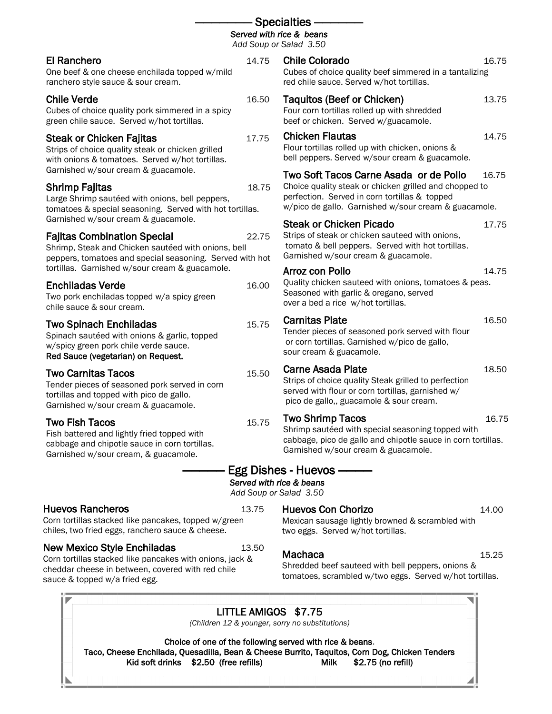|                                                                                                                                                                                              |       | <b>Specialties</b><br>Served with rice & beans<br>Add Soup or Salad 3.50                                                                                                                                  |       |
|----------------------------------------------------------------------------------------------------------------------------------------------------------------------------------------------|-------|-----------------------------------------------------------------------------------------------------------------------------------------------------------------------------------------------------------|-------|
| <b>El Ranchero</b><br>One beef & one cheese enchilada topped w/mild<br>ranchero style sauce & sour cream.                                                                                    | 14.75 | <b>Chile Colorado</b><br>Cubes of choice quality beef simmered in a tantalizing<br>red chile sauce. Served w/hot tortillas.                                                                               | 16.75 |
| <b>Chile Verde</b><br>Cubes of choice quality pork simmered in a spicy<br>green chile sauce. Served w/hot tortillas.                                                                         | 16.50 | Taquitos (Beef or Chicken)<br>Four corn tortillas rolled up with shredded<br>beef or chicken. Served w/guacamole.                                                                                         | 13.75 |
| <b>Steak or Chicken Fajitas</b><br>Strips of choice quality steak or chicken grilled<br>with onions & tomatoes. Served w/hot tortillas.                                                      | 17.75 | <b>Chicken Flautas</b><br>Flour tortillas rolled up with chicken, onions &<br>bell peppers. Served w/sour cream & guacamole.                                                                              | 14.75 |
| Garnished w/sour cream & guacamole.<br>Shrimp Fajitas<br>Large Shrimp sautéed with onions, bell peppers,<br>tomatoes & special seasoning. Served with hot tortillas.                         | 18.75 | Two Soft Tacos Carne Asada or de Pollo<br>Choice quality steak or chicken grilled and chopped to<br>perfection. Served in corn tortillas & topped<br>w/pico de gallo. Garnished w/sour cream & guacamole. | 16.75 |
| Garnished w/sour cream & guacamole.<br><b>Fajitas Combination Special</b><br>Shrimp, Steak and Chicken sautéed with onions, bell<br>peppers, tomatoes and special seasoning. Served with hot | 22.75 | <b>Steak or Chicken Picado</b><br>Strips of steak or chicken sauteed with onions,<br>tomato & bell peppers. Served with hot tortillas.<br>Garnished w/sour cream & guacamole.                             | 17.75 |
| tortillas. Garnished w/sour cream & guacamole.<br><b>Enchiladas Verde</b><br>Two pork enchiladas topped w/a spicy green<br>chile sauce & sour cream.                                         | 16.00 | <b>Arroz con Pollo</b><br>Quality chicken sauteed with onions, tomatoes & peas.<br>Seasoned with garlic & oregano, served<br>over a bed a rice w/hot tortillas.                                           | 14.75 |
| <b>Two Spinach Enchiladas</b><br>Spinach sautéed with onions & garlic, topped<br>w/spicy green pork chile verde sauce.<br>Red Sauce (vegetarian) on Request.                                 | 15.75 | <b>Carnitas Plate</b><br>Tender pieces of seasoned pork served with flour<br>or corn tortillas. Garnished w/pico de gallo,<br>sour cream & guacamole.                                                     | 16.50 |
| <b>Two Carnitas Tacos</b><br>Tender pieces of seasoned pork served in corn<br>tortillas and topped with pico de gallo.<br>Garnished w/sour cream & guacamole.                                | 15.50 | <b>Carne Asada Plate</b><br>Strips of choice quality Steak grilled to perfection<br>served with flour or corn tortillas, garnished w/<br>pico de gallo,, guacamole & sour cream.                          | 18.50 |
| <b>Two Fish Tacos</b><br>Fish battered and lightly fried topped with<br>cabbage and chipotle sauce in corn tortillas.<br>Garnished w/sour cream, & guacamole.                                | 15.75 | <b>Two Shrimp Tacos</b><br>Shrimp sautéed with special seasoning topped with<br>cabbage, pico de gallo and chipotle sauce in corn tortillas.<br>Garnished w/sour cream & guacamole.                       | 16.75 |
|                                                                                                                                                                                              |       | Egg Dishes - Huevos ———<br>Served with rice & beans<br>Add Soup or Salad 3.50                                                                                                                             |       |
| <b>Huevos Rancheros</b>                                                                                                                                                                      | 13.75 | <b>Huevos Con Chorizo</b>                                                                                                                                                                                 | 14.00 |

Corn tortillas stacked like pancakes, topped w/green chiles, two fried eggs, ranchero sauce & cheese.

### New Mexico Style Enchiladas 13.50

Corn tortillas stacked like pancakes with onions, jack & cheddar cheese in between, covered with red chile sauce & topped w/a fried egg.

| LITTLE AMIGOS \$7.75                                                                           |  |
|------------------------------------------------------------------------------------------------|--|
| (Children 12 & younger, sorry no substitutions)                                                |  |
| Choice of one of the following served with rice & beans.                                       |  |
| Taco, Cheese Enchilada, Quesadilla, Bean & Cheese Burrito, Taquitos, Corn Dog, Chicken Tenders |  |
| Kid soft drinks \$2.50 (free refills)<br>Milk $$2.75$ (no refill)                              |  |
|                                                                                                |  |

tomatoes, scrambled w/two eggs. Served w/hot tortillas.

Mexican sausage lightly browned & scrambled with two eggs. Served w/hot tortillas.

#### Machaca 15.25 Shredded beef sauteed with bell peppers, onions &